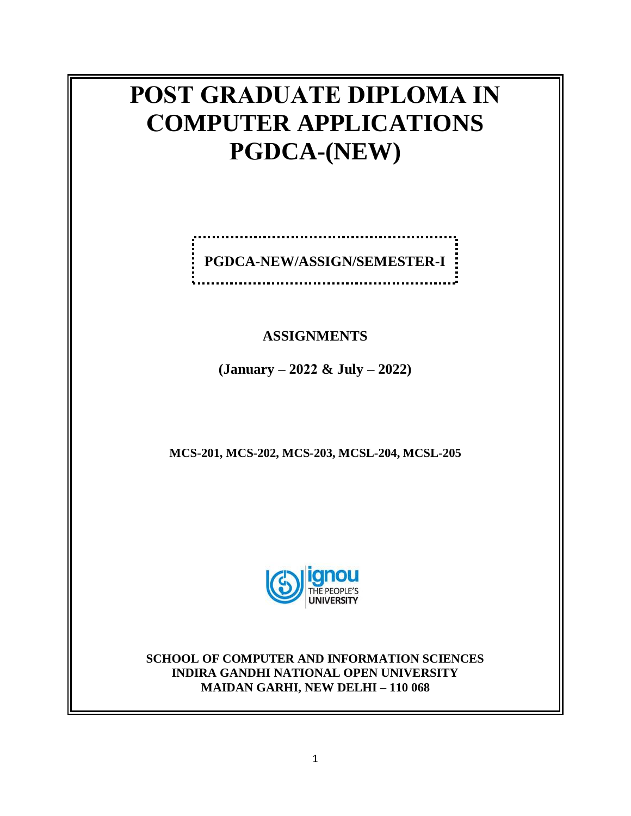# **POST GRADUATE DIPLOMA IN COMPUTER APPLICATIONS PGDCA-(NEW)**

|  | PGDCA-NEW/ASSIGN/SEMESTER-I |  |
|--|-----------------------------|--|
|  |                             |  |

## **ASSIGNMENTS**

**(January – 2022 & July – 2022)**

**MCS-201, MCS-202, MCS-203, MCSL-204, MCSL-205**



**SCHOOL OF COMPUTER AND INFORMATION SCIENCES INDIRA GANDHI NATIONAL OPEN UNIVERSITY MAIDAN GARHI, NEW DELHI – 110 068**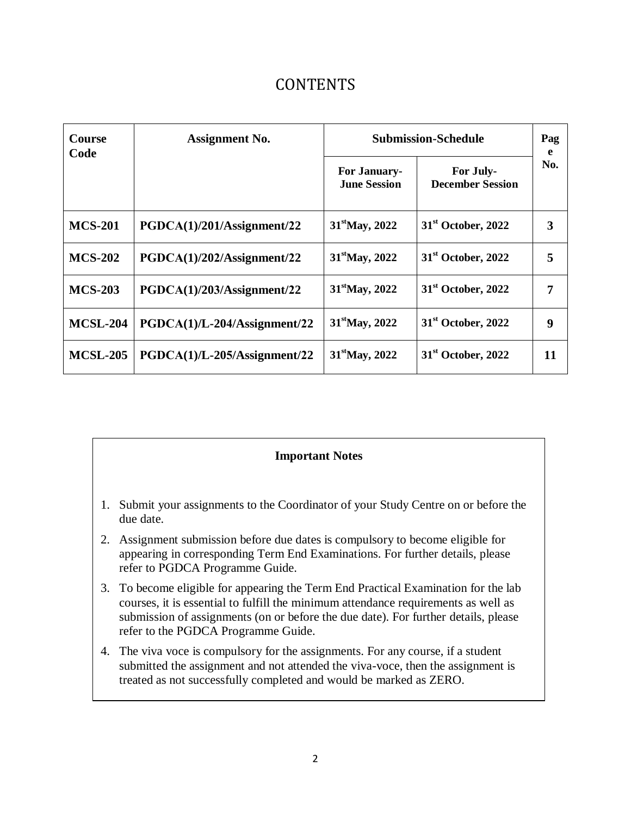# CONTENTS

| <b>Course</b><br><b>Assignment No.</b><br>Code |                              | <b>Submission-Schedule</b>                 |                                      |     |
|------------------------------------------------|------------------------------|--------------------------------------------|--------------------------------------|-----|
|                                                |                              | <b>For January-</b><br><b>June Session</b> | For July-<br><b>December Session</b> | No. |
| <b>MCS-201</b>                                 | PGDCA(1)/201/Assignment/22   | $31^{\text{st}}$ May, 2022                 | $31st$ October, 2022                 |     |
| <b>MCS-202</b>                                 | PGDCA(1)/202/Assignment/22   | $31^{\text{st}}$ May, 2022                 | $31st$ October, 2022                 | 5   |
| <b>MCS-203</b>                                 | PGDCA(1)/203/Assignment/22   | $31^{\text{st}}$ May, 2022                 | $31st$ October, 2022                 | 7   |
| <b>MCSL-204</b>                                | PGDCA(1)/L-204/Assignment/22 | $31^{\text{st}}$ May, 2022                 | $31st$ October, 2022                 | 9   |
| <b>MCSL-205</b>                                | PGDCA(1)/L-205/Assignment/22 | $31^{\text{st}}$ May, 2022                 | $31st$ October, 2022                 | 11  |

### **Important Notes**

- 1. Submit your assignments to the Coordinator of your Study Centre on or before the due date.
- 2. Assignment submission before due dates is compulsory to become eligible for appearing in corresponding Term End Examinations. For further details, please refer to PGDCA Programme Guide.
- 3. To become eligible for appearing the Term End Practical Examination for the lab courses, it is essential to fulfill the minimum attendance requirements as well as submission of assignments (on or before the due date). For further details, please refer to the PGDCA Programme Guide.
- 4. The viva voce is compulsory for the assignments. For any course, if a student submitted the assignment and not attended the viva-voce, then the assignment is treated as not successfully completed and would be marked as ZERO.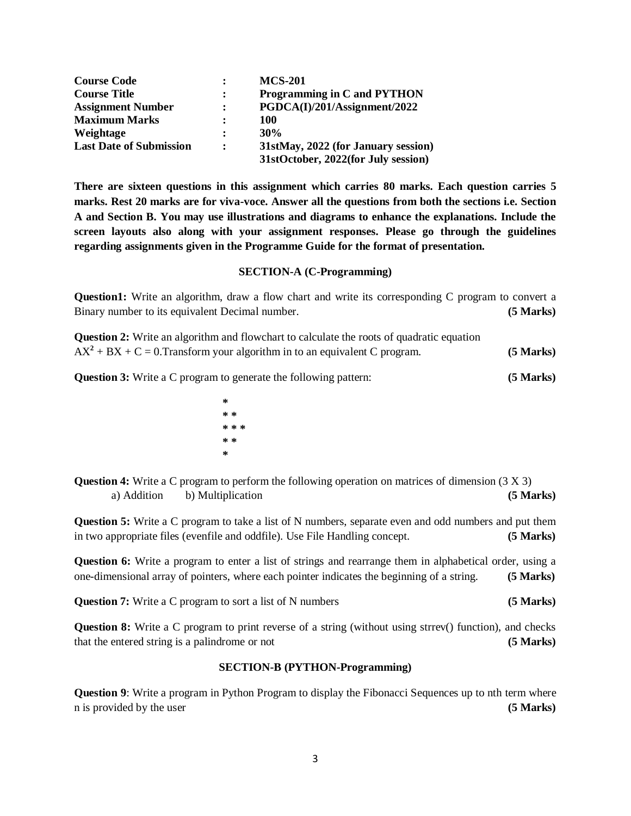| <b>Course Code</b>             | $\bullet$            | <b>MCS-201</b>                      |
|--------------------------------|----------------------|-------------------------------------|
| <b>Course Title</b>            | $\ddot{\phantom{a}}$ | Programming in C and PYTHON         |
| <b>Assignment Number</b>       | $\ddot{\cdot}$       | PGDCA(I)/201/Assignment/2022        |
| <b>Maximum Marks</b>           | $\ddot{\cdot}$       | 100                                 |
| Weightage                      | $\ddot{\cdot}$       | 30%                                 |
| <b>Last Date of Submission</b> | $\ddot{\phantom{a}}$ | 31stMay, 2022 (for January session) |
|                                |                      | 31stOctober, 2022(for July session) |

**There are sixteen questions in this assignment which carries 80 marks. Each question carries 5 marks. Rest 20 marks are for viva-voce. Answer all the questions from both the sections i.e. Section A and Section B. You may use illustrations and diagrams to enhance the explanations. Include the screen layouts also along with your assignment responses. Please go through the guidelines regarding assignments given in the Programme Guide for the format of presentation.**

### **SECTION-A (C-Programming)**

**Question1:** Write an algorithm, draw a flow chart and write its corresponding C program to convert a Binary number to its equivalent Decimal number. **(5 Marks)**

**Question 2:** Write an algorithm and flowchart to calculate the roots of quadratic equation  $AX^2 + BX + C = 0$ . Transform your algorithm in to an equivalent C program. **(5 Marks)** 

**Question 3:** Write a C program to generate the following pattern: **(5 Marks)**

**\* \* \* \* \* \* \* \* \*** 

**Question 4:** Write a C program to perform the following operation on matrices of dimension (3 X 3) a) Addition b) Multiplication **(5 Marks)**

**Question 5:** Write a C program to take a list of N numbers, separate even and odd numbers and put them in two appropriate files (evenfile and oddfile). Use File Handling concept. **(5 Marks)**

**Question 6:** Write a program to enter a list of strings and rearrange them in alphabetical order, using a one-dimensional array of pointers, where each pointer indicates the beginning of a string. **(5 Marks)**

**Question 7:** Write a C program to sort a list of N numbers **(5 Marks)** 

**Question 8:** Write a C program to print reverse of a string (without using strrev() function), and checks that the entered string is a palindrome or not **(5 Marks)**

### **SECTION-B (PYTHON-Programming)**

**Question 9**: Write a program in Python Program to display the Fibonacci Sequences up to nth term where n is provided by the user **(5 Marks)**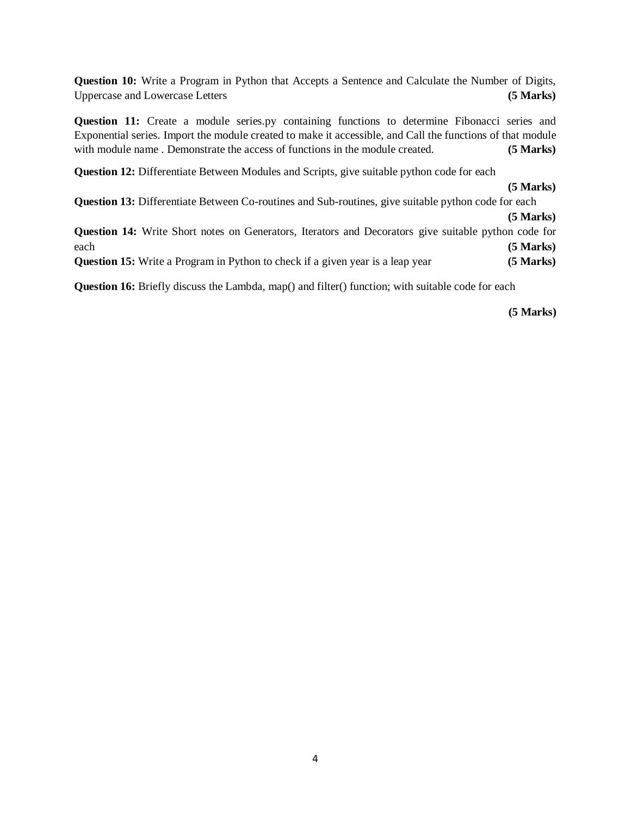**Question 10:** Write a Program in Python that Accepts a Sentence and Calculate the Number of Digits, Uppercase and Lowercase Letters **(5 Marks)**

**Question 11:** Create a module series.py containing functions to determine Fibonacci series and Exponential series. Import the module created to make it accessible, and Call the functions of that module with module name . Demonstrate the access of functions in the module created. **(5 Marks)** 

**Question 12:** Differentiate Between Modules and Scripts, give suitable python code for each

 **(5 Marks) Question 13:** Differentiate Between Co-routines and Sub-routines, give suitable python code for each **(5 Marks) Question 14:** Write Short notes on Generators, Iterators and Decorators give suitable python code for each **(5 Marks) Question 15:** Write a Program in Python to check if a given year is a leap year **(5 Marks)** 

**Question 16:** Briefly discuss the Lambda, map() and filter() function; with suitable code for each

**(5 Marks)**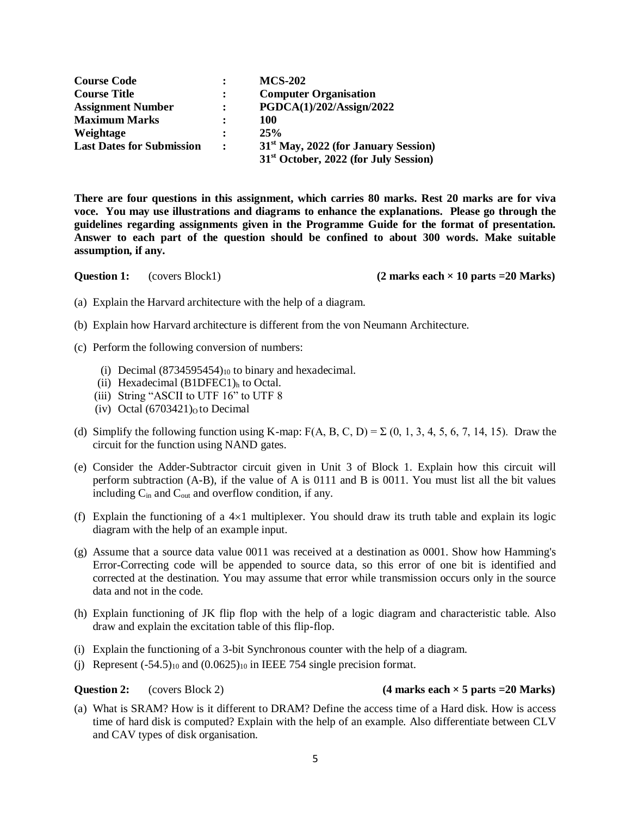**Course Code : MCS-202 Course Title : Computer Organisation Assignment Number : PGDCA(1)/202/Assign/2022 Maximum Marks : 100 Weightage : 25% Last Dates for Submission : 31st May, 2022 (for January Session) 31st October, 2022 (for July Session)**

**There are four questions in this assignment, which carries 80 marks. Rest 20 marks are for viva voce. You may use illustrations and diagrams to enhance the explanations. Please go through the guidelines regarding assignments given in the Programme Guide for the format of presentation. Answer to each part of the question should be confined to about 300 words. Make suitable assumption, if any.**

**Question 1:** (covers Block1) **(2 marks each × 10 parts =20 Marks)** 

- (a) Explain the Harvard architecture with the help of a diagram.
- (b) Explain how Harvard architecture is different from the von Neumann Architecture.
- (c) Perform the following conversion of numbers:
	- (i) Decimal  $(8734595454)_{10}$  to binary and hexadecimal.
	- (ii) Hexadecimal  $(B1DFEC1)$ <sub>h</sub> to Octal.
	- (iii) String "ASCII to UTF 16" to UTF 8
	- (iv) Octal  $(6703421)$ <sub>0</sub> to Decimal
- (d) Simplify the following function using K-map:  $F(A, B, C, D) = \sum (0, 1, 3, 4, 5, 6, 7, 14, 15)$ . Draw the circuit for the function using NAND gates.
- (e) Consider the Adder-Subtractor circuit given in Unit 3 of Block 1. Explain how this circuit will perform subtraction (A-B), if the value of A is 0111 and B is 0011. You must list all the bit values including  $C_{in}$  and  $C_{out}$  and overflow condition, if any.
- (f) Explain the functioning of a  $4\times1$  multiplexer. You should draw its truth table and explain its logic diagram with the help of an example input.
- (g) Assume that a source data value 0011 was received at a destination as 0001. Show how Hamming's Error-Correcting code will be appended to source data, so this error of one bit is identified and corrected at the destination. You may assume that error while transmission occurs only in the source data and not in the code.
- (h) Explain functioning of JK flip flop with the help of a logic diagram and characteristic table. Also draw and explain the excitation table of this flip-flop.
- (i) Explain the functioning of a 3-bit Synchronous counter with the help of a diagram.
- (j) Represent  $(-54.5)_{10}$  and  $(0.0625)_{10}$  in IEEE 754 single precision format.

### **Question 2:** (covers Block 2) (4 marks each  $\times$  5 parts =20 Marks)

(a) What is SRAM? How is it different to DRAM? Define the access time of a Hard disk. How is access time of hard disk is computed? Explain with the help of an example. Also differentiate between CLV and CAV types of disk organisation.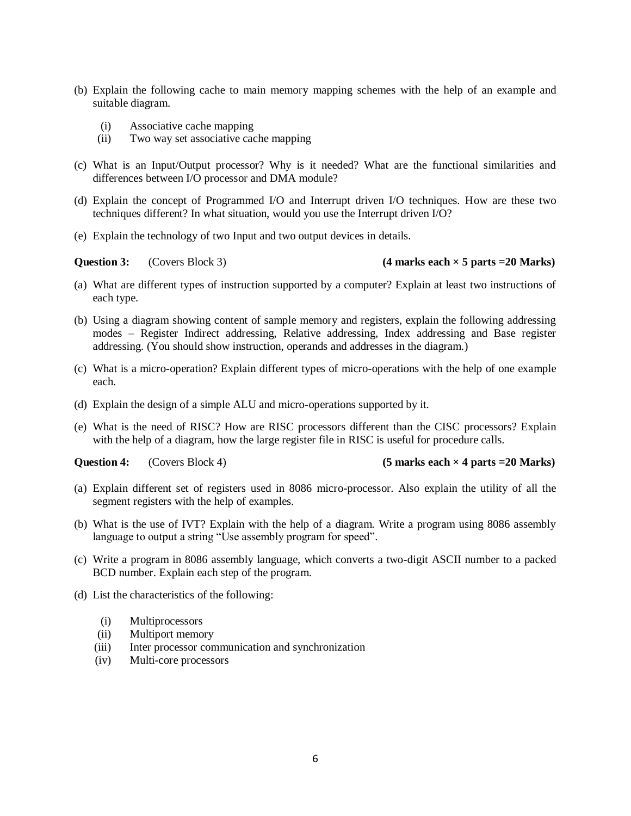- (b) Explain the following cache to main memory mapping schemes with the help of an example and suitable diagram.
	- (i) Associative cache mapping
	- (ii) Two way set associative cache mapping
- (c) What is an Input/Output processor? Why is it needed? What are the functional similarities and differences between I/O processor and DMA module?
- (d) Explain the concept of Programmed I/O and Interrupt driven I/O techniques. How are these two techniques different? In what situation, would you use the Interrupt driven I/O?
- (e) Explain the technology of two Input and two output devices in details.

### **Question 3:** (Covers Block 3) (4 marks each  $\times$  5 parts =20 Marks)

- (a) What are different types of instruction supported by a computer? Explain at least two instructions of each type.
- (b) Using a diagram showing content of sample memory and registers, explain the following addressing modes – Register Indirect addressing, Relative addressing, Index addressing and Base register addressing. (You should show instruction, operands and addresses in the diagram.)
- (c) What is a micro-operation? Explain different types of micro-operations with the help of one example each.
- (d) Explain the design of a simple ALU and micro-operations supported by it.
- (e) What is the need of RISC? How are RISC processors different than the CISC processors? Explain with the help of a diagram, how the large register file in RISC is useful for procedure calls.

**Question 4:** (Covers Block 4) **(5 marks each × 4 parts =20 Marks)**

- (a) Explain different set of registers used in 8086 micro-processor. Also explain the utility of all the segment registers with the help of examples.
- (b) What is the use of IVT? Explain with the help of a diagram. Write a program using 8086 assembly language to output a string "Use assembly program for speed".
- (c) Write a program in 8086 assembly language, which converts a two-digit ASCII number to a packed BCD number. Explain each step of the program.
- (d) List the characteristics of the following:
	- (i) Multiprocessors
	- (ii) Multiport memory
	- (iii) Inter processor communication and synchronization
	- (iv) Multi-core processors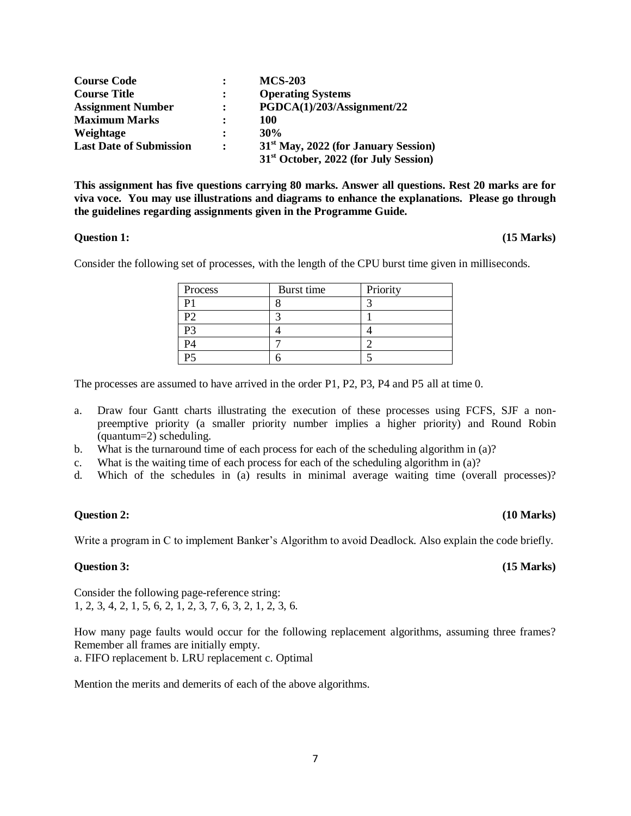| <b>Course Code</b>             | $\bullet$      | <b>MCS-203</b>                                    |
|--------------------------------|----------------|---------------------------------------------------|
| <b>Course Title</b>            |                | <b>Operating Systems</b>                          |
| <b>Assignment Number</b>       | $\ddot{\cdot}$ | PGDCA(1)/203/Assignment/22                        |
| <b>Maximum Marks</b>           |                | 100                                               |
| Weightage                      | $\ddot{\cdot}$ | 30%                                               |
| <b>Last Date of Submission</b> | $\ddot{\cdot}$ | 31 <sup>st</sup> May, 2022 (for January Session)  |
|                                |                | 31 <sup>st</sup> October, 2022 (for July Session) |

**This assignment has five questions carrying 80 marks. Answer all questions. Rest 20 marks are for viva voce. You may use illustrations and diagrams to enhance the explanations. Please go through the guidelines regarding assignments given in the Programme Guide.** 

### **Question 1: (15 Marks)**

Consider the following set of processes, with the length of the CPU burst time given in milliseconds.

| Process | Burst time | Priority |
|---------|------------|----------|
|         |            |          |
| P2      |            |          |
| P3      |            |          |
| P4      |            |          |
| P5      |            |          |

The processes are assumed to have arrived in the order P1, P2, P3, P4 and P5 all at time 0.

- a. Draw four Gantt charts illustrating the execution of these processes using FCFS, SJF a nonpreemptive priority (a smaller priority number implies a higher priority) and Round Robin (quantum=2) scheduling.
- b. What is the turnaround time of each process for each of the scheduling algorithm in (a)?
- c. What is the waiting time of each process for each of the scheduling algorithm in (a)?
- d. Which of the schedules in (a) results in minimal average waiting time (overall processes)?

### **Question 2: (10 Marks)**

Write a program in C to implement Banker's Algorithm to avoid Deadlock. Also explain the code briefly.

### **Question 3: (15 Marks)**

Consider the following page-reference string: 1, 2, 3, 4, 2, 1, 5, 6, 2, 1, 2, 3, 7, 6, 3, 2, 1, 2, 3, 6.

How many page faults would occur for the following replacement algorithms, assuming three frames? Remember all frames are initially empty. a. FIFO replacement b. LRU replacement c. Optimal

Mention the merits and demerits of each of the above algorithms.

### 7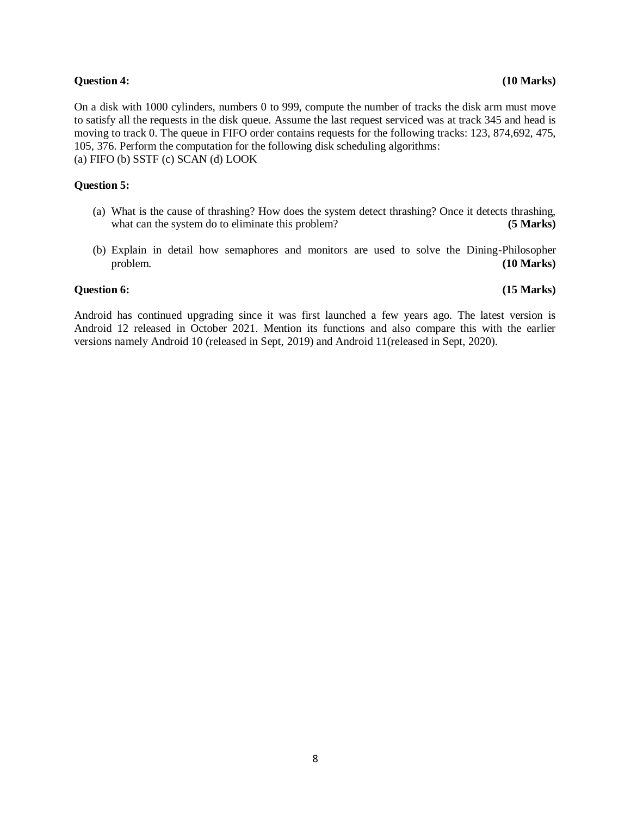### **Question 4:** (10 Marks)

On a disk with 1000 cylinders, numbers 0 to 999, compute the number of tracks the disk arm must move to satisfy all the requests in the disk queue. Assume the last request serviced was at track 345 and head is moving to track 0. The queue in FIFO order contains requests for the following tracks: 123, 874,692, 475, 105, 376. Perform the computation for the following disk scheduling algorithms: (a) FIFO (b) SSTF (c) SCAN (d) LOOK

### **Question 5:**

- (a) What is the cause of thrashing? How does the system detect thrashing? Once it detects thrashing, what can the system do to eliminate this problem? **(5 Marks)**
- (b) Explain in detail how semaphores and monitors are used to solve the Dining-Philosopher problem. **(10 Marks)**

### **Question 6:** (15 Marks) *Question 6:*

Android has continued upgrading since it was first launched a few years ago. The latest version is Android 12 released in October 2021. Mention its functions and also compare this with the earlier versions namely Android 10 (released in Sept, 2019) and Android 11(released in Sept, 2020).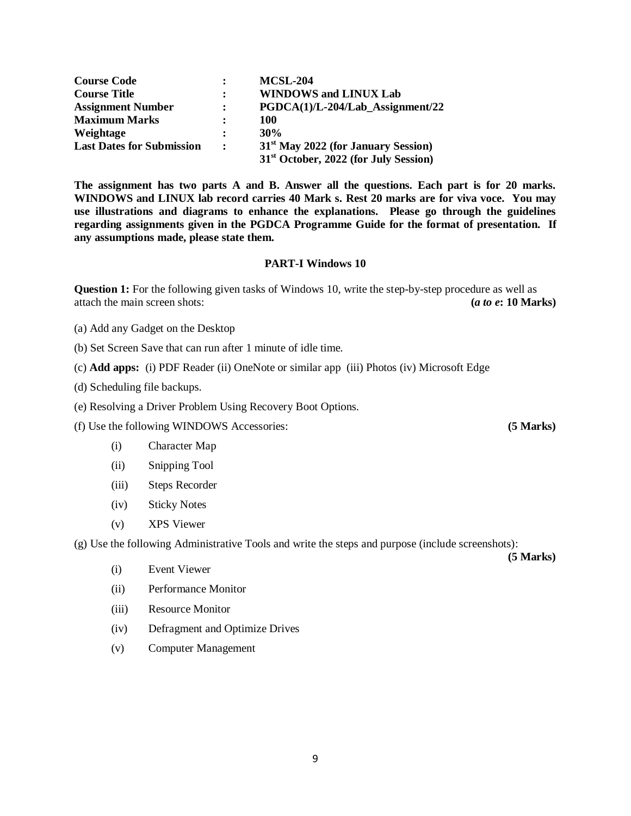| <b>Course Code</b>               |                      | <b>MCSL-204</b>                                   |
|----------------------------------|----------------------|---------------------------------------------------|
| <b>Course Title</b>              | $\ddot{\phantom{a}}$ | <b>WINDOWS and LINUX Lab</b>                      |
| <b>Assignment Number</b>         | $\ddot{\cdot}$       | $PGDCA(1)/L-204/Lab$ Assignment/22                |
| <b>Maximum Marks</b>             | $\ddot{\cdot}$       | 100                                               |
| Weightage                        | $\ddot{\cdot}$       | 30%                                               |
| <b>Last Dates for Submission</b> | $\ddot{\cdot}$       | 31 <sup>st</sup> May 2022 (for January Session)   |
|                                  |                      | 31 <sup>st</sup> October, 2022 (for July Session) |

**The assignment has two parts A and B. Answer all the questions. Each part is for 20 marks. WINDOWS and LINUX lab record carries 40 Mark s. Rest 20 marks are for viva voce. You may use illustrations and diagrams to enhance the explanations. Please go through the guidelines regarding assignments given in the PGDCA Programme Guide for the format of presentation. If any assumptions made, please state them.**

### **PART-I Windows 10**

**Question 1:** For the following given tasks of Windows 10, write the step-by-step procedure as well as attach the main screen shots: **(***a to e***: 10 Marks)**

(a) Add any Gadget on the Desktop

(b) Set Screen Save that can run after 1 minute of idle time.

(c) **Add apps:** (i) PDF Reader (ii) OneNote or similar app (iii) Photos (iv) Microsoft Edge

(d) Scheduling file backups.

(e) Resolving a Driver Problem Using Recovery Boot Options.

(f) Use the following WINDOWS Accessories: **(5 Marks)**

- (i) Character Map
- (ii) Snipping Tool
- (iii) Steps Recorder
- (iv) Sticky Notes
- (v) XPS Viewer

(g) Use the following Administrative Tools and write the steps and purpose (include screenshots):

- (i) Event Viewer
- (ii) Performance Monitor
- (iii) Resource Monitor
- (iv) Defragment and Optimize Drives
- (v) Computer Management

 **(5 Marks)**

9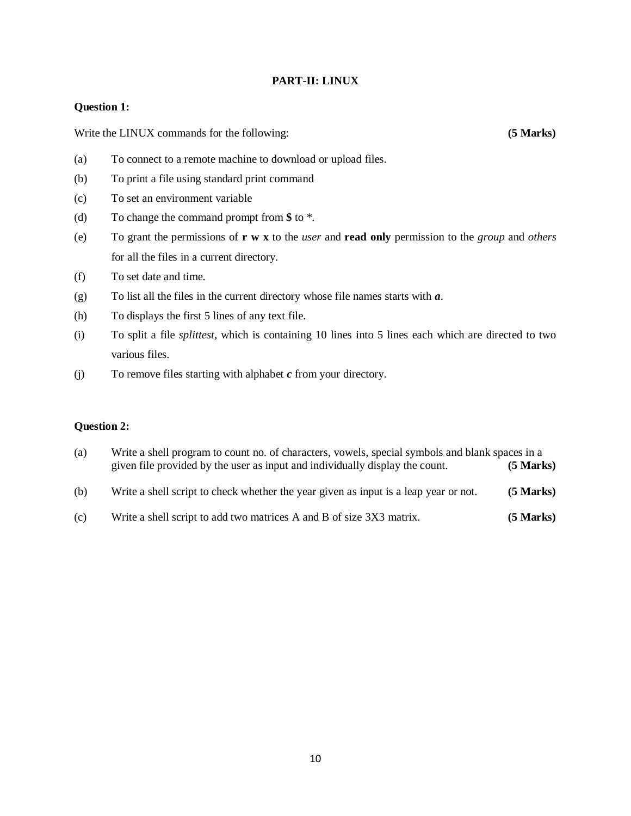### **PART-II: LINUX**

### **Question 1:**

Write the LINUX commands for the following: **(5 Marks)** (5 Marks)

- (a) To connect to a remote machine to download or upload files.
- (b) To print a file using standard print command
- (c) To set an environment variable
- (d) To change the command prompt from **\$** to \*.
- (e) To grant the permissions of **r w x** to the *user* and **read only** permission to the *group* and *others* for all the files in a current directory.
- (f) To set date and time.
- (g) To list all the files in the current directory whose file names starts with *a*.
- (h) To displays the first 5 lines of any text file.
- (i) To split a file *splittest*, which is containing 10 lines into 5 lines each which are directed to two various files.
- (j) To remove files starting with alphabet *c* from your directory.

### **Question 2:**

- (a) Write a shell program to count no. of characters, vowels, special symbols and blank spaces in a given file provided by the user as input and individually display the count. **(5 Marks)**
- (b) Write a shell script to check whether the year given as input is a leap year or not. **(5 Marks)**
- (c) Write a shell script to add two matrices A and B of size 3X3 matrix. **(5 Marks)**